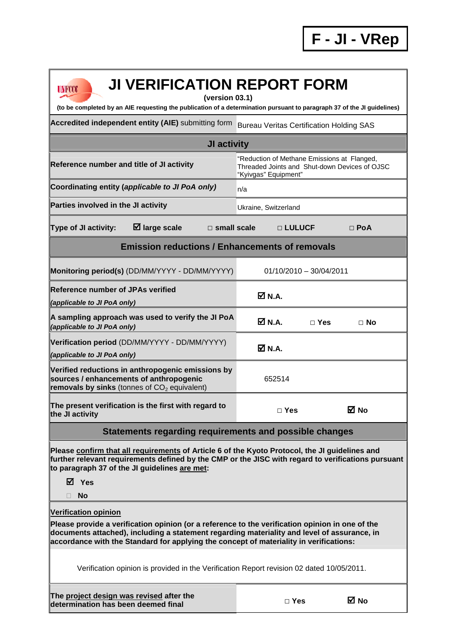| <b>JI VERIFICATION REPORT FORM</b><br><b>UNFCCC</b><br>(version 03.1)<br>(to be completed by an AIE requesting the publication of a determination pursuant to paragraph 37 of the JI guidelines)                                                                                                                        |                                                                                                                      |                           |            |  |  |  |  |  |
|-------------------------------------------------------------------------------------------------------------------------------------------------------------------------------------------------------------------------------------------------------------------------------------------------------------------------|----------------------------------------------------------------------------------------------------------------------|---------------------------|------------|--|--|--|--|--|
| Accredited independent entity (AIE) submitting form                                                                                                                                                                                                                                                                     |                                                                                                                      |                           |            |  |  |  |  |  |
|                                                                                                                                                                                                                                                                                                                         | <b>Bureau Veritas Certification Holding SAS</b>                                                                      |                           |            |  |  |  |  |  |
| JI activity                                                                                                                                                                                                                                                                                                             |                                                                                                                      |                           |            |  |  |  |  |  |
| Reference number and title of JI activity                                                                                                                                                                                                                                                                               | "Reduction of Methane Emissions at Flanged,<br>Threaded Joints and Shut-down Devices of OJSC<br>"Kyivgas" Equipment" |                           |            |  |  |  |  |  |
| Coordinating entity (applicable to JI PoA only)                                                                                                                                                                                                                                                                         | n/a                                                                                                                  |                           |            |  |  |  |  |  |
| Parties involved in the JI activity                                                                                                                                                                                                                                                                                     | Ukraine, Switzerland                                                                                                 |                           |            |  |  |  |  |  |
| $\boxtimes$ large scale<br><b>Type of JI activity:</b><br>$\square$ small scale                                                                                                                                                                                                                                         |                                                                                                                      | □ LULUCF                  | $\Box$ PoA |  |  |  |  |  |
| <b>Emission reductions / Enhancements of removals</b>                                                                                                                                                                                                                                                                   |                                                                                                                      |                           |            |  |  |  |  |  |
| Monitoring period(s) (DD/MM/YYYY - DD/MM/YYYY)                                                                                                                                                                                                                                                                          |                                                                                                                      | $01/10/2010 - 30/04/2011$ |            |  |  |  |  |  |
| <b>Reference number of JPAs verified</b><br>(applicable to JI PoA only)                                                                                                                                                                                                                                                 | ØN.A.                                                                                                                |                           |            |  |  |  |  |  |
| A sampling approach was used to verify the JI PoA<br>(applicable to JI PoA only)                                                                                                                                                                                                                                        | M N.A.                                                                                                               | $\Box$ Yes                | $\Box$ No  |  |  |  |  |  |
| Verification period (DD/MM/YYYY - DD/MM/YYYY)<br>(applicable to JI PoA only)                                                                                                                                                                                                                                            | ØN.A.                                                                                                                |                           |            |  |  |  |  |  |
| Verified reductions in anthropogenic emissions by<br>sources / enhancements of anthropogenic<br>removals by sinks (tonnes of $CO2$ equivalent)                                                                                                                                                                          | 652514                                                                                                               |                           |            |  |  |  |  |  |
| The present verification is the first with regard to<br>the JI activity                                                                                                                                                                                                                                                 |                                                                                                                      | $\Box$ Yes                | M No       |  |  |  |  |  |
| Statements regarding requirements and possible changes                                                                                                                                                                                                                                                                  |                                                                                                                      |                           |            |  |  |  |  |  |
| Please confirm that all requirements of Article 6 of the Kyoto Protocol, the JI guidelines and<br>further relevant requirements defined by the CMP or the JISC with regard to verifications pursuant<br>to paragraph 37 of the JI guidelines are met:                                                                   |                                                                                                                      |                           |            |  |  |  |  |  |
| ⊠ Yes                                                                                                                                                                                                                                                                                                                   |                                                                                                                      |                           |            |  |  |  |  |  |
| <b>No</b>                                                                                                                                                                                                                                                                                                               |                                                                                                                      |                           |            |  |  |  |  |  |
| <b>Verification opinion</b><br>Please provide a verification opinion (or a reference to the verification opinion in one of the<br>documents attached), including a statement regarding materiality and level of assurance, in<br>accordance with the Standard for applying the concept of materiality in verifications: |                                                                                                                      |                           |            |  |  |  |  |  |
| Verification opinion is provided in the Verification Report revision 02 dated 10/05/2011.                                                                                                                                                                                                                               |                                                                                                                      |                           |            |  |  |  |  |  |
| The project design was revised after the<br>determination has been deemed final                                                                                                                                                                                                                                         |                                                                                                                      | $\Box$ Yes                | M No       |  |  |  |  |  |